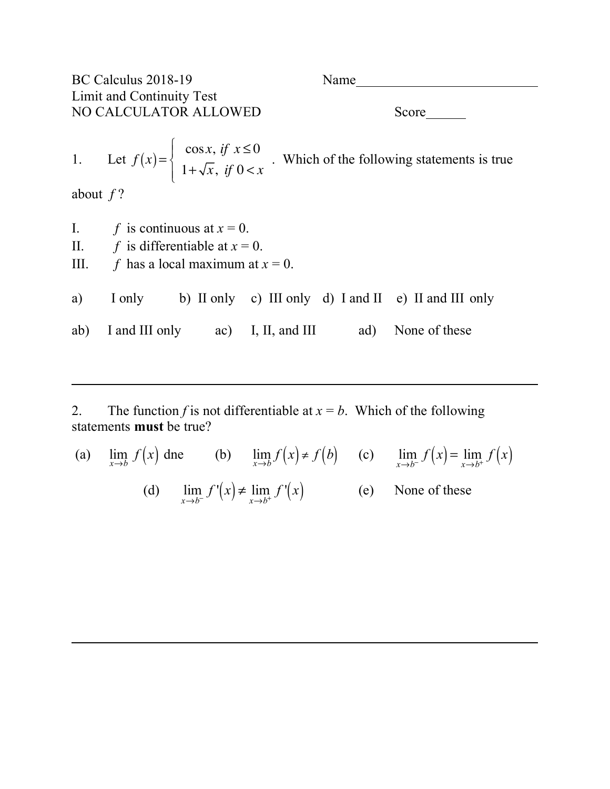| BC Calculus 2018-19                                |                                           |  |  | Name |                                                                                                                                                        |  |  |
|----------------------------------------------------|-------------------------------------------|--|--|------|--------------------------------------------------------------------------------------------------------------------------------------------------------|--|--|
| Limit and Continuity Test<br>NO CALCULATOR ALLOWED |                                           |  |  |      |                                                                                                                                                        |  |  |
|                                                    |                                           |  |  |      | 1. Let $f(x) = \begin{cases} \cos x, & \text{if } x \le 0 \\ 1 + \sqrt{x}, & \text{if } 0 < x \end{cases}$ . Which of the following statements is true |  |  |
| about $f$ ?                                        |                                           |  |  |      |                                                                                                                                                        |  |  |
|                                                    | I. $f$ is continuous at $x = 0$ .         |  |  |      |                                                                                                                                                        |  |  |
|                                                    | II. $f$ is differentiable at $x = 0$ .    |  |  |      |                                                                                                                                                        |  |  |
|                                                    | III. $f$ has a local maximum at $x = 0$ . |  |  |      |                                                                                                                                                        |  |  |
| a)                                                 |                                           |  |  |      | I only b) II only c) III only d) I and II e) II and III only                                                                                           |  |  |
|                                                    |                                           |  |  |      | ab) I and III only ac) I, II, and III ad) None of these                                                                                                |  |  |

2. The function *f* is not differentiable at  $x = b$ . Which of the following statements **must** be true?

(a) 
$$
\lim_{x \to b} f(x)
$$
 the (b)  $\lim_{x \to b} f(x) \neq f(b)$  (c)  $\lim_{x \to b^{-}} f(x) = \lim_{x \to b^{+}} f(x)$   
(d)  $\lim_{x \to b^{-}} f'(x) \neq \lim_{x \to b^{+}} f'(x)$  (e) None of these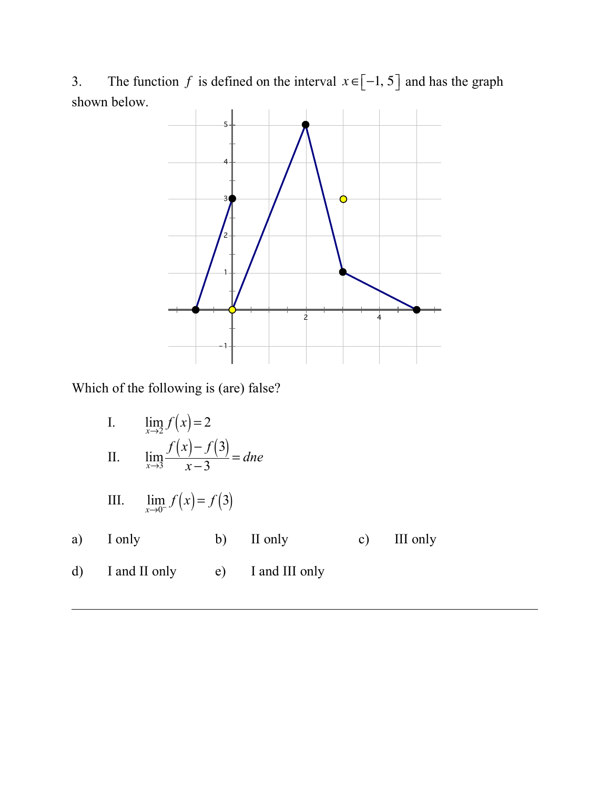3. The function f is defined on the interval  $x \in [-1, 5]$  and has the graph shown below.



Which of the following is (are) false?

I. II. III. a) I only b) II only c) III only d) I and II only e) I and III only  $\lim_{x \to 2} f(x) = 2$ lim*x*→3  $f(x)-f(3)$  $\frac{x}{x-3}$  = *dne*  $\lim_{x \to 0^{-}} f(x) = f(3)$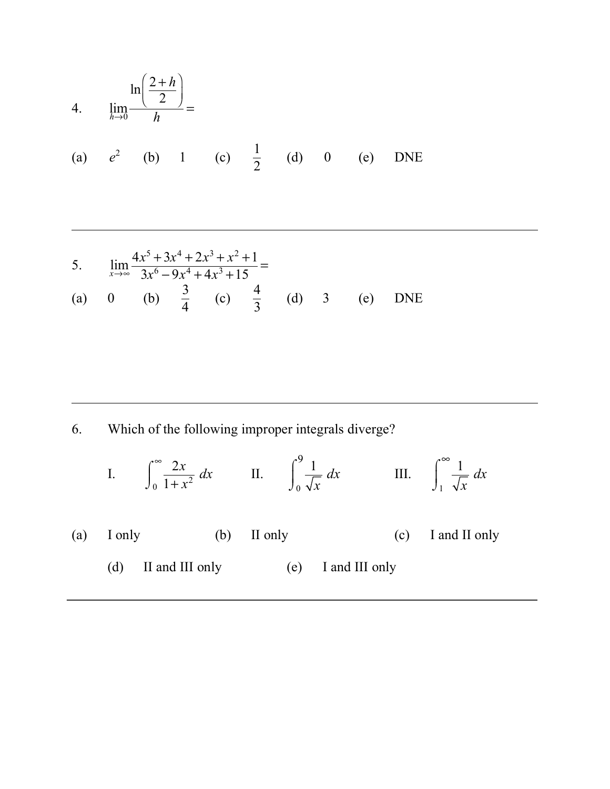4. 
$$
\lim_{h \to 0} \frac{\ln(\frac{2+h}{2})}{h}
$$
 =  
\n(a)  $e^2$  (b) 1 (c)  $\frac{1}{2}$  (d) 0 (e) DNE

5. 
$$
\lim_{x \to \infty} \frac{4x^5 + 3x^4 + 2x^3 + x^2 + 1}{3x^6 - 9x^4 + 4x^3 + 15} =
$$
  
(a) 0 (b)  $\frac{3}{4}$  (c)  $\frac{4}{3}$  (d) 3 (e) DNE

6. Which of the following improper integrals diverge?

I. 
$$
\int_0^\infty \frac{2x}{1+x^2} dx
$$
 II. 
$$
\int_0^9 \frac{1}{\sqrt{x}} dx
$$
 III. 
$$
\int_1^\infty \frac{1}{\sqrt{x}} dx
$$

- (a) I only (b) II only (c) I and II only
	- (d) II and III only (e) I and III only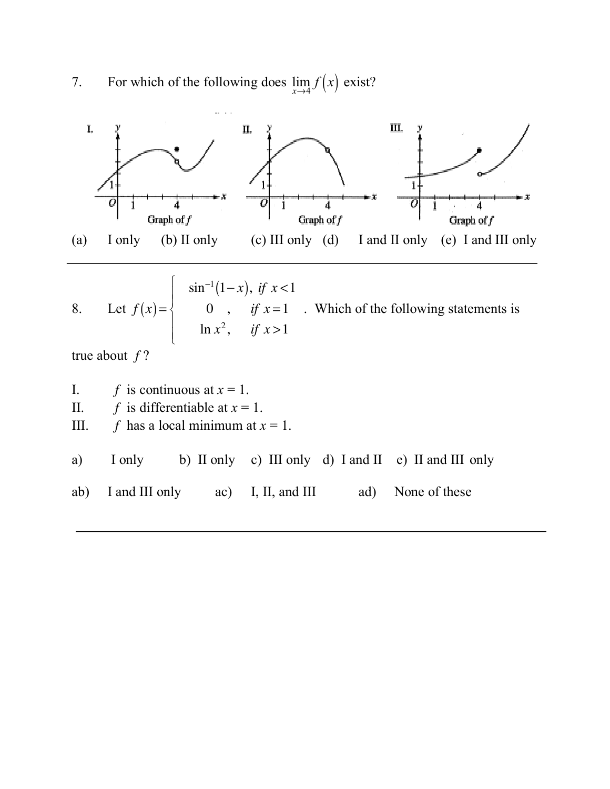7. For which of the following does  $\lim_{x\to 4} f(x)$  exist?

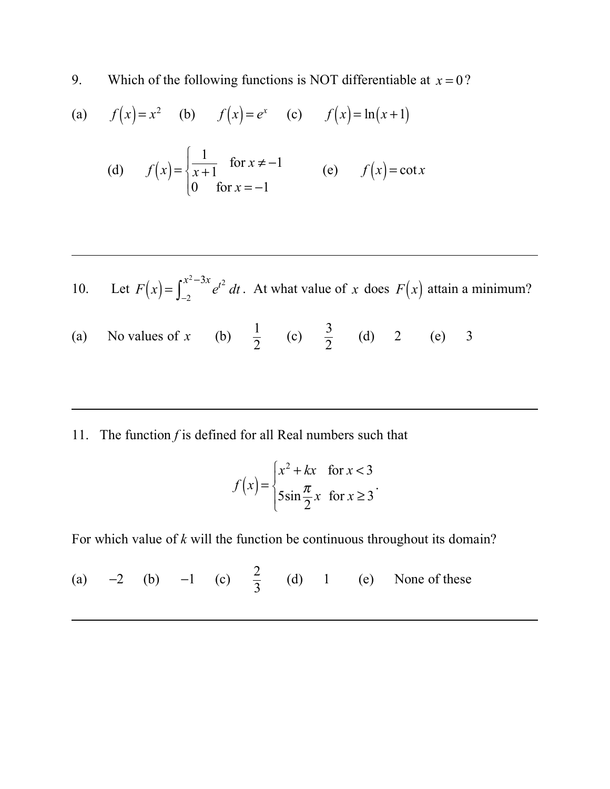9. Which of the following functions is NOT differentiable at  $x = 0$ ?

(a) 
$$
f(x)=x^2
$$
 (b)  $f(x)=e^x$  (c)  $f(x)=\ln(x+1)$ 

(d) 
$$
f(x) = \begin{cases} \frac{1}{x+1} & \text{for } x \neq -1 \\ 0 & \text{for } x = -1 \end{cases}
$$
 (e)  $f(x) = \cot x$ 

10. Let 
$$
F(x) = \int_{-2}^{x^2 - 3x} e^{t^2} dt
$$
. At what value of x does  $F(x)$  attain a minimum?

- (a) No values of x (b)  $\frac{1}{2}$  (c)  $\frac{5}{2}$  (d) 2 (e) 3 No values of x 1 2 3 2
- 11. The function *f* is defined for all Real numbers such that

$$
f(x) = \begin{cases} x^2 + kx & \text{for } x < 3\\ 5\sin\frac{\pi}{2}x & \text{for } x \ge 3 \end{cases}.
$$

For which value of *k* will the function be continuous throughout its domain?

(a)  $-2$  (b)  $-1$  (c)  $\frac{2}{3}$  (d) 1 (e) None of these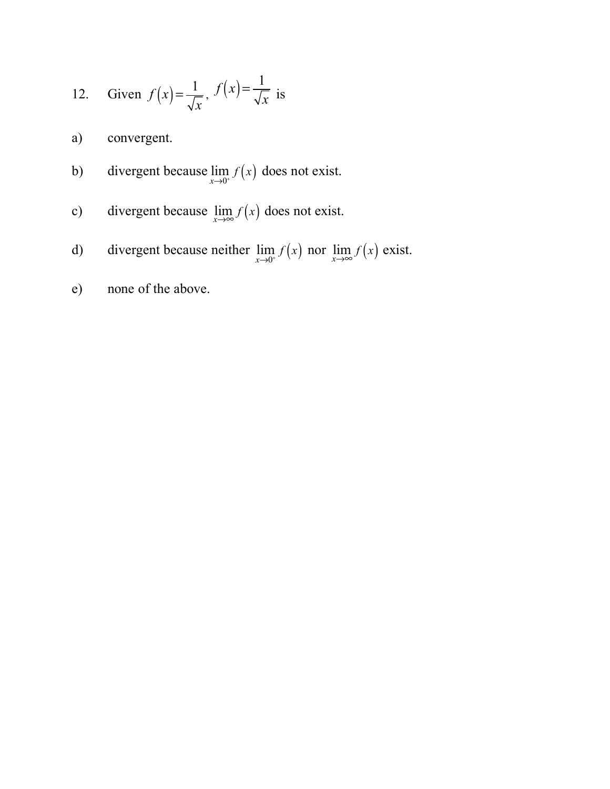12. Given 
$$
f(x) = \frac{1}{\sqrt{x}}
$$
,  $f(x) = \frac{1}{\sqrt{x}}$  is

a) convergent.

- b) divergent because  $\lim_{x\to 0^+} f(x)$  does not exist.
- c) divergent because  $\lim_{x \to \infty} f(x)$  does not exist.
- d) divergent because neither  $\lim_{x\to 0^+} f(x)$  nor  $\lim_{x\to \infty} f(x)$  exist.
- e) none of the above.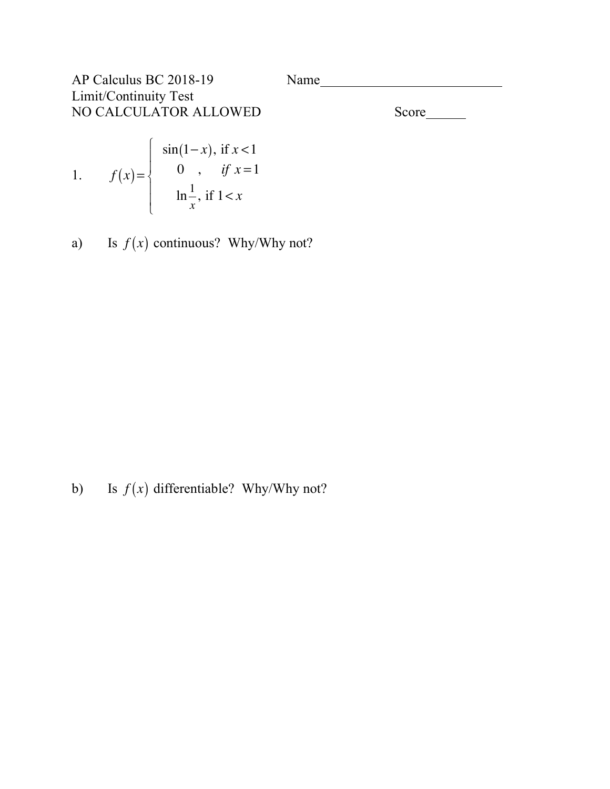| AP Calculus BC 2018-19 | Name |       |
|------------------------|------|-------|
| Limit/Continuity Test  |      |       |
| NO CALCULATOR ALLOWED  |      | Score |

1. 
$$
f(x) = \begin{cases} \sin(1-x), & \text{if } x < 1 \\ 0, & \text{if } x = 1 \\ \ln \frac{1}{x}, & \text{if } 1 < x \end{cases}
$$

a) Is  $f(x)$  continuous? Why/Why not?

b) Is  $f(x)$  differentiable? Why/Why not?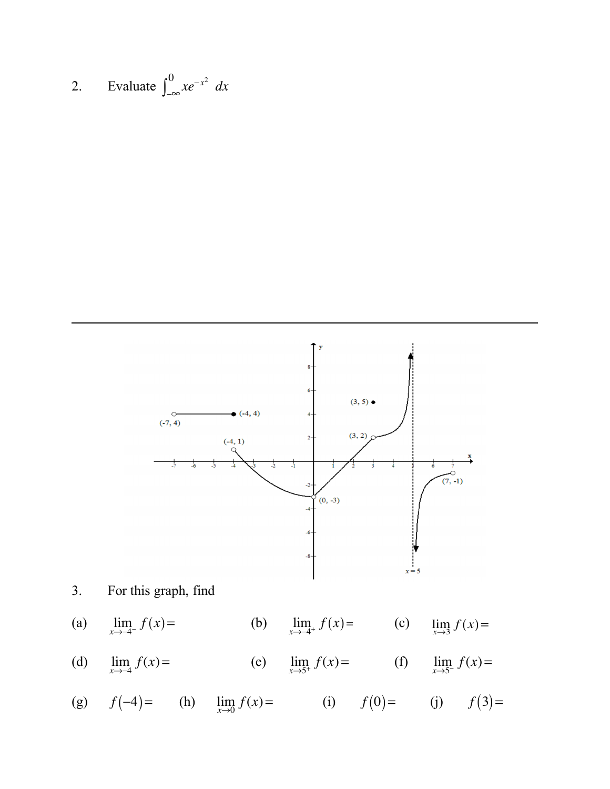2. Evaluate 
$$
\int_{-\infty}^{0} xe^{-x^2} dx
$$



- (d)  $\lim_{x \to -4} f(x) =$  (e)  $\lim_{x \to 5^+} f(x) =$  (f)  $\lim_{x \to 5^-} f(x) =$
- (g)  $f(-4) =$  (h)  $\lim_{x \to 0} f(x) =$  (i)  $f(0) =$  (j)  $f(3) =$